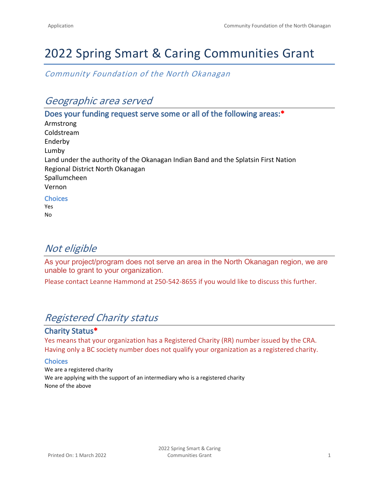# 2022 Spring Smart & Caring Communities Grant

*Community Foundation of the North Okanagan*

# *Geographic area served*

**Does your funding request serve some or all of the following areas:\*** Armstrong Coldstream Enderby Lumby Land under the authority of the Okanagan Indian Band and the Splatsin First Nation Regional District North Okanagan Spallumcheen Vernon **Choices** Yes

No

# *Not eligible*

As your project/program does not serve an area in the North Okanagan region, we are unable to grant to your organization.

Please contact Leanne Hammond at 250-542-8655 if you would like to discuss this further.

# *Registered Charity status*

### **Charity Status\***

Yes means that your organization has a Registered Charity (RR) number issued by the CRA. Having only a BC society number does not qualify your organization as a registered charity.

#### **Choices**

We are a registered charity We are applying with the support of an intermediary who is a registered charity None of the above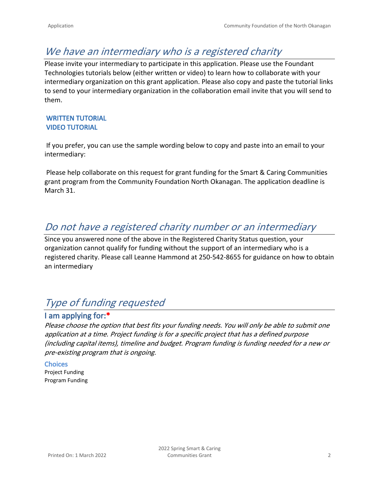# *We have an intermediary who is a registered charity*

Please invite your intermediary to participate in this application. Please use the Foundant Technologies tutorials below (either written or video) to learn how to collaborate with your intermediary organization on this grant application. Please also copy and paste the tutorial links to send to your intermediary organization in the collaboration email invite that you will send to them.

### **[WRITTEN TUTORIAL](https://docs.google.com/document/d/15NsdFgi3lBmBu0_pp1zj2HZ51I4mx8Wryjrx4FYOmdg/edit) [VIDEO TUTORIAL](https://drive.google.com/file/d/1IHkAEvTD4c-t9BwclyQY_OCdghW5U56B/view)**

 If you prefer, you can use the sample wording below to copy and paste into an email to your intermediary:

 Please help collaborate on this request for grant funding for the Smart & Caring Communities grant program from the Community Foundation North Okanagan. The application deadline is March 31.

# *Do not have a registered charity number or an intermediary*

Since you answered none of the above in the Registered Charity Status question, your organization cannot qualify for funding without the support of an intermediary who is a registered charity. Please call Leanne Hammond at 250-542-8655 for guidance on how to obtain an intermediary

# *Type of funding requested*

# **I am applying for:\***

*Please choose the option that best fits your funding needs. You will only be able to submit one application at a time. Project funding is for a specific project that has a defined purpose (including capital items), timeline and budget. Program funding is funding needed for a new or pre-existing program that is ongoing.* 

#### **Choices** Project Funding Program Funding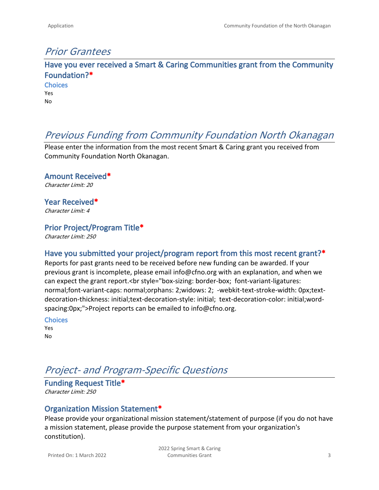# *Prior Grantees*

**Have you ever received a Smart & Caring Communities grant from the Community Foundation?\* Choices**

Yes No

# *Previous Funding from Community Foundation North Okanagan*

Please enter the information from the most recent Smart & Caring grant you received from Community Foundation North Okanagan.

**Amount Received\*** *Character Limit: 20*

**Year Received\*** *Character Limit: 4*

### **Prior Project/Program Title\***

*Character Limit: 250*

### **Have you submitted your project/program report from this most recent grant?\***

Reports for past grants need to be received before new funding can be awarded. If your previous grant is incomplete, please email info@cfno.org with an explanation, and when we can expect the grant report.<br style="box-sizing: border-box; font-variant-ligatures: normal;font-variant-caps: normal;orphans: 2;widows: 2; -webkit-text-stroke-width: 0px;textdecoration-thickness: initial;text-decoration-style: initial; text-decoration-color: initial;wordspacing:0px;">Project reports can be emailed to info@cfno.org.

**Choices**

| r<br>٠ |  |
|--------|--|
| л<br>٢ |  |

# *Project- and Program-Specific Questions*

**Funding Request Title\*** *Character Limit: 250*

### **Organization Mission Statement\***

Please provide your organizational mission statement/statement of purpose (if you do not have a mission statement, please provide the purpose statement from your organization's constitution).

Printed On: 1 March 2022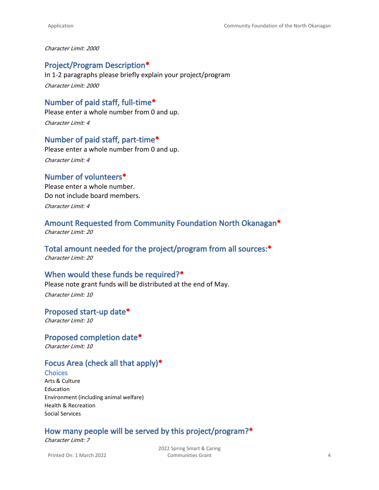*Character Limit: 2000*

#### **Project/Program Description\***

In 1-2 paragraphs please briefly explain your project/program *Character Limit: 2000*

# **Number of paid staff, full-time\***

Please enter a whole number from 0 and up. *Character Limit: 4*

#### **Number of paid staff, part-time\***

Please enter a whole number from 0 and up. *Character Limit: 4*

#### **Number of volunteers\***

Please enter a whole number. Do not include board members. *Character Limit: 4*

### **Amount Requested from Community Foundation North Okanagan\***

*Character Limit: 20*

### **Total amount needed for the project/program from all sources:\***

*Character Limit: 20*

#### **When would these funds be required?\***

Please note grant funds will be distributed at the end of May.

*Character Limit: 10*

#### **Proposed start-up date\*** *Character Limit: 10*

#### **Proposed completion date\***

*Character Limit: 10*

### **Focus Area (check all that apply)\***

#### **Choices**

Arts & Culture Education Environment (including animal welfare) Health & Recreation Social Services

## **How many people will be served by this project/program?\***

*Character Limit: 7*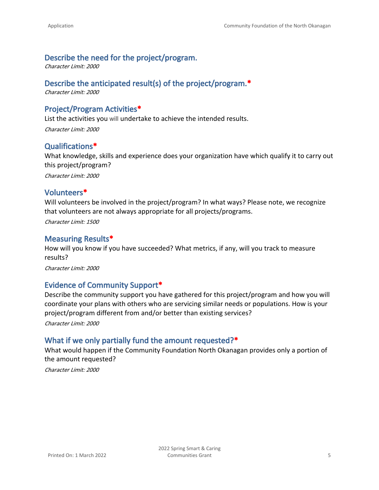### **Describe the need for the project/program.**

*Character Limit: 2000*

### **Describe the anticipated result(s) of the project/program.\***

*Character Limit: 2000*

### **Project/Program Activities\***

List the activities you will undertake to achieve the intended results. *Character Limit: 2000*

#### **Qualifications\***

What knowledge, skills and experience does your organization have which qualify it to carry out this project/program?

*Character Limit: 2000*

#### **Volunteers\***

Will volunteers be involved in the project/program? In what ways? Please note, we recognize that volunteers are not always appropriate for all projects/programs.

*Character Limit: 1500*

#### **Measuring Results\***

How will you know if you have succeeded? What metrics, if any, will you track to measure results?

*Character Limit: 2000*

#### **Evidence of Community Support\***

Describe the community support you have gathered for this project/program and how you will coordinate your plans with others who are servicing similar needs or populations. How is your project/program different from and/or better than existing services?

*Character Limit: 2000*

#### **What if we only partially fund the amount requested?\***

What would happen if the Community Foundation North Okanagan provides only a portion of the amount requested?

*Character Limit: 2000*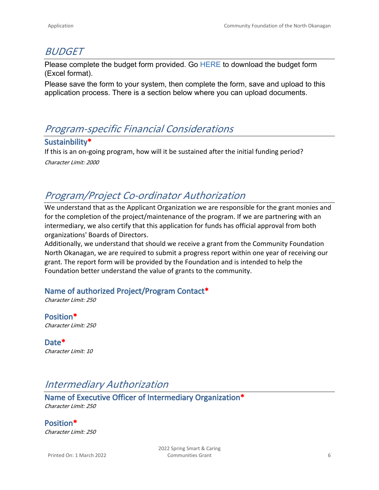# *BUDGET*

Please complete the budget form provided. Go [HERE](https://cfno.org/wp/wp-content/uploads/2022/03/2022_CFNO_Budget_Template-2.xlsx) to download the budget form (Excel format).

Please save the form to your system, then complete the form, save and upload to this application process. There is a section below where you can upload documents.

# *Program-specific Financial Considerations*

### **Sustainbility\***

If this is an on-going program, how will it be sustained after the initial funding period? *Character Limit: 2000*

# *Program/Project Co-ordinator Authorization*

We understand that as the Applicant Organization we are responsible for the grant monies and for the completion of the project/maintenance of the program. If we are partnering with an intermediary, we also certify that this application for funds has official approval from both organizations' Boards of Directors.

Additionally, we understand that should we receive a grant from the Community Foundation North Okanagan, we are required to submit a progress report within one year of receiving our grant. The report form will be provided by the Foundation and is intended to help the Foundation better understand the value of grants to the community.

## **Name of authorized Project/Program Contact\***

*Character Limit: 250*

**Position\*** *Character Limit: 250*

**Date\*** *Character Limit: 10*

# *Intermediary Authorization*

**Name of Executive Officer of Intermediary Organization\*** *Character Limit: 250*

**Position\*** *Character Limit: 250*

Printed On: 1 March 2022